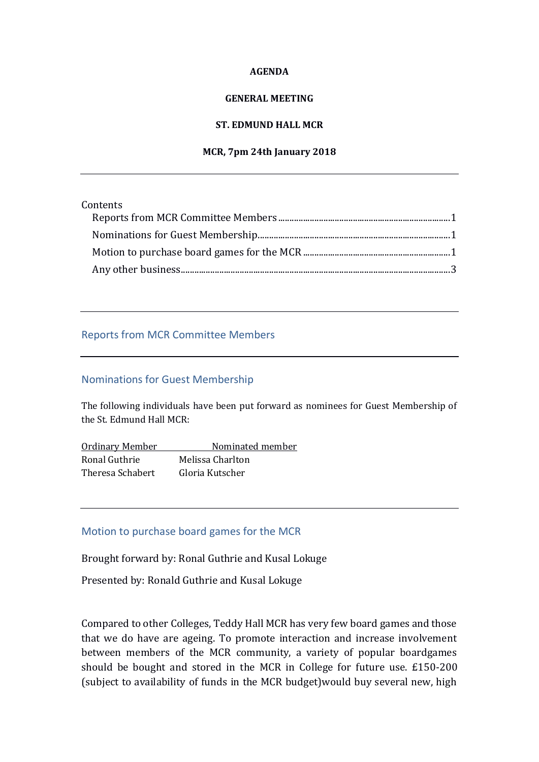#### **AGENDA**

### **GENERAL MEETING**

### **ST. EDMUND HALL MCR**

#### **MCR, 7pm 24th January 2018**

| Contents |  |
|----------|--|
|          |  |
|          |  |
|          |  |
|          |  |
|          |  |

## <span id="page-0-0"></span>Reports from MCR Committee Members

### <span id="page-0-1"></span>Nominations for Guest Membership

The following individuals have been put forward as nominees for Guest Membership of the St. Edmund Hall MCR:

Ordinary Member Nominated member Ronal Guthrie Melissa Charlton Theresa Schabert Gloria Kutscher

# <span id="page-0-2"></span>Motion to purchase board games for the MCR

Brought forward by: Ronal Guthrie and Kusal Lokuge

Presented by: Ronald Guthrie and Kusal Lokuge

Compared to other Colleges, Teddy Hall MCR has very few board games and those that we do have are ageing. To promote interaction and increase involvement between members of the MCR community, a variety of popular boardgames should be bought and stored in the MCR in College for future use. £150-200 (subject to availability of funds in the MCR budget)would buy several new, high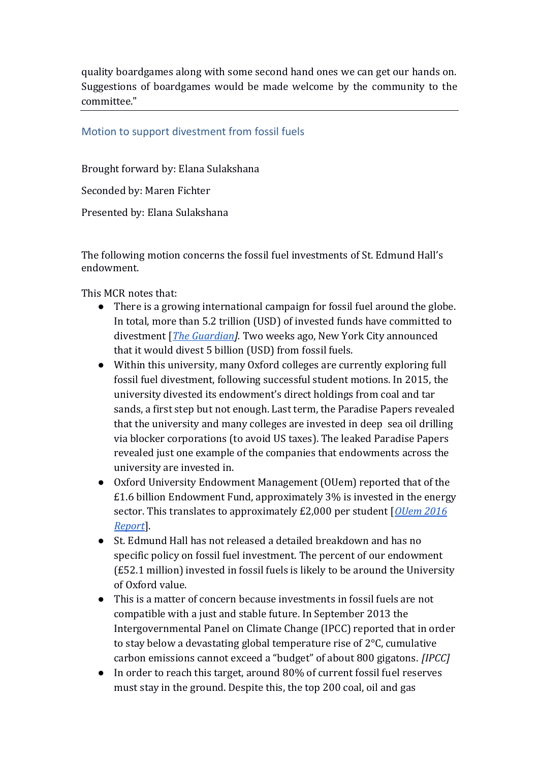quality boardgames along with some second hand ones we can get our hands on. Suggestions of boardgames would be made welcome by the community to the committee."

# Motion to support divestment from fossil fuels

Brought forward by: Elana Sulakshana

Seconded by: Maren Fichter

Presented by: Elana Sulakshana

The following motion concerns the fossil fuel investments of St. Edmund Hall's endowment.

This MCR notes that:

- There is a growing international campaign for fossil fuel around the globe. In total, more than 5.2 trillion (USD) of invested funds have committed to divestment [*[The Guardian\]](https://www.theguardian.com/us-news/2018/jan/10/new-york-city-plans-to-divest-5bn-from-fossil-fuels-and-sue-oil-companies).* Two weeks ago, New York City announced that it would divest 5 billion (USD) from fossil fuels.
- Within this university, many Oxford colleges are currently exploring full fossil fuel divestment, following successful student motions. In 2015, the university divested its endowment's direct holdings from coal and tar sands, a first step but not enough. Last term, the Paradise Papers revealed that the university and many colleges are invested in deep sea oil drilling via blocker corporations (to avoid US taxes). The leaked Paradise Papers revealed just one example of the companies that endowments across the university are invested in.
- Oxford University Endowment Management (OUem) reported that of the £1.6 billion Endowment Fund, approximately 3% is invested in the energy sector. This translates to approximately £2,000 per student [*[OUem 2016](http://ouem.co.uk/wp-content/uploads/2014/12/3.-Annual-Report-The-OEF-Report-2016.pdf)  [Report](http://ouem.co.uk/wp-content/uploads/2014/12/3.-Annual-Report-The-OEF-Report-2016.pdf)*].
- St. Edmund Hall has not released a detailed breakdown and has no specific policy on fossil fuel investment. The percent of our endowment (£52.1 million) invested in fossil fuels is likely to be around the University of Oxford value.
- This is a matter of concern because investments in fossil fuels are not compatible with a just and stable future. In September 2013 the Intergovernmental Panel on Climate Change (IPCC) reported that in order to stay below a devastating global temperature rise of 2°C, cumulative carbon emissions cannot exceed a "budget" of about 800 gigatons. *[IPCC]*
- In order to reach this target, around 80% of current fossil fuel reserves must stay in the ground. Despite this, the top 200 coal, oil and gas